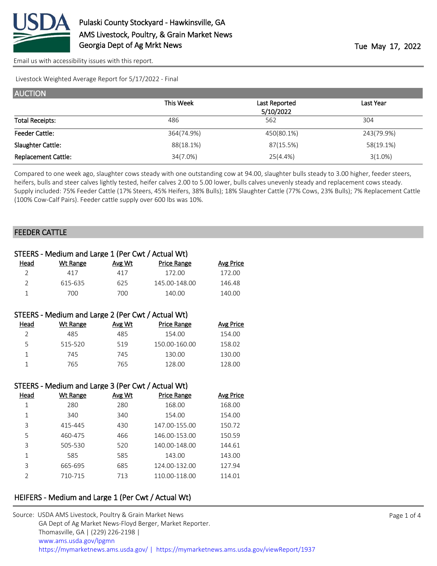

Livestock Weighted Average Report for 5/17/2022 - Final

| <b>AUCTION</b>             |            |               |            |
|----------------------------|------------|---------------|------------|
|                            | This Week  | Last Reported | Last Year  |
|                            |            | 5/10/2022     |            |
| <b>Total Receipts:</b>     | 486        | 562           | 304        |
| <b>Feeder Cattle:</b>      | 364(74.9%) | 450(80.1%)    | 243(79.9%) |
| Slaughter Cattle:          | 88(18.1%)  | 87(15.5%)     | 58(19.1%)  |
| <b>Replacement Cattle:</b> | 34(7.0%)   | 25(4.4%)      | $3(1.0\%)$ |

Compared to one week ago, slaughter cows steady with one outstanding cow at 94.00, slaughter bulls steady to 3.00 higher, feeder steers, heifers, bulls and steer calves lightly tested, heifer calves 2.00 to 5.00 lower, bulls calves unevenly steady and replacement cows steady. Supply included: 75% Feeder Cattle (17% Steers, 45% Heifers, 38% Bulls); 18% Slaughter Cattle (77% Cows, 23% Bulls); 7% Replacement Cattle (100% Cow-Calf Pairs). Feeder cattle supply over 600 lbs was 10%.

## FEEDER CATTLE

|                | STEERS - Medium and Large 1 (Per Cwt / Actual Wt) |        |                    |                  |
|----------------|---------------------------------------------------|--------|--------------------|------------------|
| Head           | <b>Wt Range</b>                                   | Avg Wt | <b>Price Range</b> | <b>Avg Price</b> |
| $\overline{2}$ | 417                                               | 417    | 172.00             | 172.00           |
| $\overline{2}$ | 615-635                                           | 625    | 145.00-148.00      | 146.48           |
| $\mathbf{1}$   | 700                                               | 700    | 140.00             | 140.00           |
|                |                                                   |        |                    |                  |
|                | STEERS - Medium and Large 2 (Per Cwt / Actual Wt) |        |                    |                  |
| Head           | <b>Wt Range</b>                                   | Avg Wt | <b>Price Range</b> | <b>Avg Price</b> |
| $\overline{2}$ | 485                                               | 485    | 154.00             | 154.00           |
| 5              | 515-520                                           | 519    | 150.00-160.00      | 158.02           |
| $\mathbf{1}$   | 745                                               | 745    | 130.00             | 130.00           |
| $\mathbf{1}$   | 765                                               | 765    | 128.00             | 128.00           |
|                |                                                   |        |                    |                  |
|                | STEERS - Medium and Large 3 (Per Cwt / Actual Wt) |        |                    |                  |
| Head           | <b>Wt Range</b>                                   | Avg Wt | <b>Price Range</b> | <b>Avg Price</b> |
| $\mathbf{1}$   | 280                                               | 280    | 168.00             | 168.00           |
| $\mathbf{1}$   | 340                                               | 340    | 154.00             | 154.00           |
| 3              | 415-445                                           | 430    | 147.00-155.00      | 150.72           |
| 5              | 460-475                                           | 466    | 146.00-153.00      | 150.59           |
| 3              | 505-530                                           | 520    | 140.00-148.00      | 144.61           |
| $\mathbf 1$    | 585                                               | 585    | 143.00             | 143.00           |
| 3              | 665-695                                           | 685    | 124.00-132.00      | 127.94           |
| $\overline{2}$ | 710-715                                           | 713    | 110.00-118.00      | 114.01           |
|                |                                                   |        |                    |                  |

# HEIFERS - Medium and Large 1 (Per Cwt / Actual Wt)

| Source: USDA AMS Livestock, Poultry & Grain Market News                                |
|----------------------------------------------------------------------------------------|
| GA Dept of Ag Market News-Floyd Berger, Market Reporter.                               |
| Thomasville, GA   (229) 226-2198                                                       |
| www.ams.usda.gov/lpgmn                                                                 |
| https://mymarketnews.ams.usda.gov/   https://mymarketnews.ams.usda.gov/viewReport/1937 |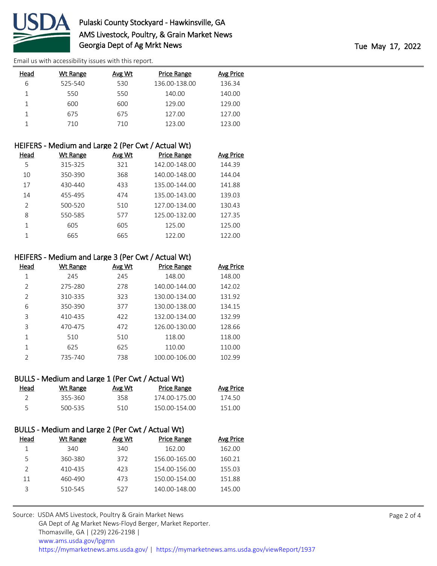

| Head | <b>Wt Range</b> | Avg Wt | <b>Price Range</b> | Avg Price |
|------|-----------------|--------|--------------------|-----------|
| 6    | 525-540         | 530    | 136.00-138.00      | 136.34    |
|      | 550             | 550    | 140.00             | 140.00    |
|      | 600             | 600    | 129.00             | 129.00    |
|      | 675             | 675    | 127.00             | 127.00    |
|      | 710             | 710    | 123.00             | 123.00    |

|                | HEIFERS - Medium and Large 2 (Per Cwt / Actual Wt) |               |                    |                  |
|----------------|----------------------------------------------------|---------------|--------------------|------------------|
| Head           | <b>Wt Range</b>                                    | <u>Avg Wt</u> | <b>Price Range</b> | <b>Avg Price</b> |
| 5              | 315-325                                            | 321           | 142.00-148.00      | 144.39           |
| 10             | 350-390                                            | 368           | 140.00-148.00      | 144.04           |
| 17             | 430-440                                            | 433           | 135.00-144.00      | 141.88           |
| 14             | 455-495                                            | 474           | 135.00-143.00      | 139.03           |
| $\mathfrak{D}$ | 500-520                                            | 510           | 127.00-134.00      | 130.43           |
| 8              | 550-585                                            | 577           | 125.00-132.00      | 127.35           |
|                | 605                                                | 605           | 125.00             | 125.00           |
|                | 665                                                | 665           | 122.00             | 122.00           |

## HEIFERS - Medium and Large 3 (Per Cwt / Actual Wt)

| Head           | Wt Range | Avg Wt | Price Range   | Avg Price |
|----------------|----------|--------|---------------|-----------|
| 1              | 245      | 245    | 148.00        | 148.00    |
| 2              | 275-280  | 278    | 140.00-144.00 | 142.02    |
| $\mathcal{P}$  | 310-335  | 323    | 130.00-134.00 | 131.92    |
| 6              | 350-390  | 377    | 130.00-138.00 | 134.15    |
| 3              | 410-435  | 422    | 132.00-134.00 | 132.99    |
| 3              | 470-475  | 472    | 126.00-130.00 | 128.66    |
| 1              | 510      | 510    | 118.00        | 118.00    |
|                | 625      | 625    | 110.00        | 110.00    |
| $\mathfrak{D}$ | 735-740  | 738    | 100.00-106.00 | 102.99    |

# BULLS - Medium and Large 1 (Per Cwt / Actual Wt)

| <b>Head</b> | Wt Range | Avg Wt | Price Range   | Avg Price |
|-------------|----------|--------|---------------|-----------|
|             | 355-360  | 358.   | 174.00-175.00 | 174.50    |
| -5          | 500-535  | 510    | 150.00-154.00 | 151.00    |

|      | BULLS - Medium and Large 2 (Per Cwt / Actual Wt) |        |                    |                  |
|------|--------------------------------------------------|--------|--------------------|------------------|
| Head | Wt Range                                         | Avg Wt | <b>Price Range</b> | <b>Avg Price</b> |
|      | 340                                              | 340    | 162.00             | 162.00           |
| 5    | 360-380                                          | 372    | 156.00-165.00      | 160.21           |
|      | 410-435                                          | 423    | 154.00-156.00      | 155.03           |
| 11   | 460-490                                          | 473    | 150.00-154.00      | 151.88           |
| ₹    | 510-545                                          | 527    | 140.00-148.00      | 145.00           |
|      |                                                  |        |                    |                  |

| Source: USDA AMS Livestock, Poultry & Grain Market News                                |
|----------------------------------------------------------------------------------------|
| GA Dept of Ag Market News-Floyd Berger, Market Reporter.                               |
| Thomasville, GA   (229) 226-2198                                                       |
| www.ams.usda.gov/lpgmn                                                                 |
| https://mymarketnews.ams.usda.gov/   https://mymarketnews.ams.usda.gov/viewReport/1937 |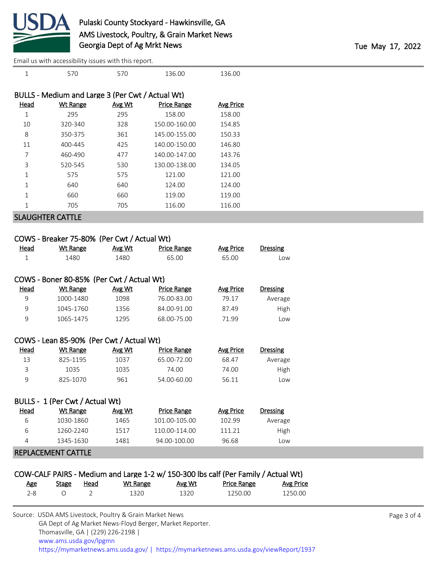

| $\mathbf 1$  | 570                                              | 570    | 136.00             | 136.00           |                 |
|--------------|--------------------------------------------------|--------|--------------------|------------------|-----------------|
|              | BULLS - Medium and Large 3 (Per Cwt / Actual Wt) |        |                    |                  |                 |
|              |                                                  |        |                    |                  |                 |
| <b>Head</b>  | <b>Wt Range</b>                                  | Avg Wt | <b>Price Range</b> | <b>Avg Price</b> |                 |
| $\mathbf 1$  | 295                                              | 295    | 158.00             | 158.00           |                 |
| 10           | 320-340                                          | 328    | 150.00-160.00      | 154.85           |                 |
| 8            | 350-375                                          | 361    | 145.00-155.00      | 150.33           |                 |
| 11           | 400-445                                          | 425    | 140.00-150.00      | 146.80           |                 |
| 7            | 460-490                                          | 477    | 140.00-147.00      | 143.76           |                 |
| 3            | 520-545                                          | 530    | 130.00-138.00      | 134.05           |                 |
| $\mathbf 1$  | 575                                              | 575    | 121.00             | 121.00           |                 |
| $\mathbf{1}$ | 640                                              | 640    | 124.00             | 124.00           |                 |
| $\mathbf{1}$ | 660                                              | 660    | 119.00             | 119.00           |                 |
| $\mathbf 1$  | 705                                              | 705    | 116.00             | 116.00           |                 |
|              | <b>SLAUGHTER CATTLE</b>                          |        |                    |                  |                 |
|              |                                                  |        |                    |                  |                 |
|              |                                                  |        |                    |                  |                 |
|              | COWS - Breaker 75-80% (Per Cwt / Actual Wt)      |        |                    |                  |                 |
| <b>Head</b>  | <b>Wt Range</b>                                  | Avg Wt | <b>Price Range</b> | <b>Avg Price</b> | <b>Dressing</b> |
|              |                                                  |        |                    |                  |                 |

| woo         | <b>VVLIVALIKE</b>                         | <b><u>AVE WV</u></b> | <b>FILE RAIRE</b>  | <b>AVE LILE</b>  | <b>DI COOILIK</b> |
|-------------|-------------------------------------------|----------------------|--------------------|------------------|-------------------|
| 1           | 1480                                      | 1480                 | 65.00              | 65.00            | Low               |
|             |                                           |                      |                    |                  |                   |
|             | COWS - Boner 80-85% (Per Cwt / Actual Wt) |                      |                    |                  |                   |
| <b>Head</b> | <b>Wt Range</b>                           | Avg Wt               | <b>Price Range</b> | <b>Avg Price</b> | <b>Dressing</b>   |
| 9           | 1000-1480                                 | 1098                 | 76.00-83.00        | 79.17            | Average           |
| 9           | 1045-1760                                 | 1356                 | 84.00-91.00        | 87.49            | High              |
| 9           | 1065-1475                                 | 1295                 | 68.00-75.00        | 71.99            | Low               |
|             |                                           |                      |                    |                  |                   |
|             | COWS - Lean 85-90% (Per Cwt / Actual Wt)  |                      |                    |                  |                   |
| Head        | Wt Range                                  | Avg Wt               | <b>Price Range</b> | <b>Avg Price</b> | <b>Dressing</b>   |
| 13          | 825-1195                                  | 1037                 | 65.00-72.00        | 68.47            | Average           |
| 3           | 1035                                      | 1035                 | 74.00              | 74.00            | High              |

| BULLS - 1 (Per Cwt / Actual Wt) |           |        |               |           |                 |  |
|---------------------------------|-----------|--------|---------------|-----------|-----------------|--|
| Head                            | Wt Range  | Avg Wt | Price Range   | Avg Price | <b>Dressing</b> |  |
| ь                               | 1030-1860 | 1465   | 101.00-105.00 | 102.99    | Average         |  |
| 6                               | 1260-2240 | 1517   | 110.00-114.00 | 111.21    | High            |  |
| 4                               | 1345-1630 | 1481   | 94.00-100.00  | 96.68     | Low             |  |

9 825-1070 961 54.00-60.00 56.11 Low

#### REPLACEMENT CATTLE

# COW-CALF PAIRS - Medium and Large 1-2 w/ 150-300 lbs calf (Per Family / Actual Wt)

| Age | Stage | Head | Wt Range | Avg Wt | <b>Price Range</b> | <b>Avg Price</b> |
|-----|-------|------|----------|--------|--------------------|------------------|
| 2-8 |       |      | 1320     | 1320   | 1250.00            | 1250.00          |